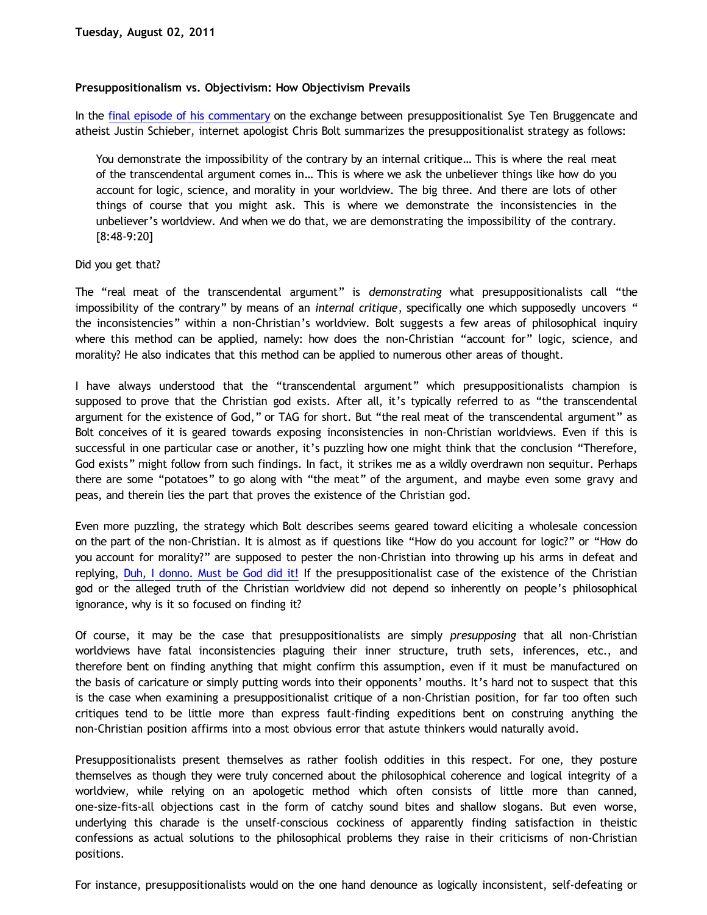## **Presuppositionalism vs. Objectivism: How Objectivism Prevails**

In the [final episode of his commentary](http://www.choosinghats.com/2011/07/praxis-presup-episode-11/) on the exchange between presuppositionalist Sye Ten Bruggencate and atheist Justin Schieber, internet apologist Chris Bolt summarizes the presuppositionalist strategy as follows:

You demonstrate the impossibility of the contrary by an internal critique… This is where the real meat of the transcendental argument comes in… This is where we ask the unbeliever things like how do you account for logic, science, and morality in your worldview. The big three. And there are lots of other things of course that you might ask. This is where we demonstrate the inconsistencies in the unbeliever's worldview. And when we do that, we are demonstrating the impossibility of the contrary. [8:48-9:20]

## Did you get that?

The "real meat of the transcendental argument" is *demonstrating* what presuppositionalists call "the impossibility of the contrary" by means of an *internal critique*, specifically one which supposedly uncovers " the inconsistencies" within a non-Christian's worldview. Bolt suggests a few areas of philosophical inquiry where this method can be applied, namely: how does the non-Christian "account for" logic, science, and morality? He also indicates that this method can be applied to numerous other areas of thought.

I have always understood that the "transcendental argument" which presuppositionalists champion is supposed to prove that the Christian god exists. After all, it's typically referred to as "the transcendental argument for the existence of God," or TAG for short. But "the real meat of the transcendental argument" as Bolt conceives of it is geared towards exposing inconsistencies in non-Christian worldviews. Even if this is successful in one particular case or another, it's puzzling how one might think that the conclusion "Therefore, God exists" might follow from such findings. In fact, it strikes me as a wildly overdrawn non sequitur. Perhaps there are some "potatoes" to go along with "the meat" of the argument, and maybe even some gravy and peas, and therein lies the part that proves the existence of the Christian god.

Even more puzzling, the strategy which Bolt describes seems geared toward eliciting a wholesale concession on the part of the non-Christian. It is almost as if questions like "How do you account for logic?" or "How do you account for morality?" are supposed to pester the non-Christian into throwing up his arms in defeat and replying, [Duh, I donno. Must be God did it!](http://www.katholon.com/duh15.wav) If the presuppositionalist case of the existence of the Christian god or the alleged truth of the Christian worldview did not depend so inherently on people's philosophical ignorance, why is it so focused on finding it?

Of course, it may be the case that presuppositionalists are simply *presupposing* that all non-Christian worldviews have fatal inconsistencies plaguing their inner structure, truth sets, inferences, etc., and therefore bent on finding anything that might confirm this assumption, even if it must be manufactured on the basis of caricature or simply putting words into their opponents' mouths. It's hard not to suspect that this is the case when examining a presuppositionalist critique of a non-Christian position, for far too often such critiques tend to be little more than express fault-finding expeditions bent on construing anything the non-Christian position affirms into a most obvious error that astute thinkers would naturally avoid.

Presuppositionalists present themselves as rather foolish oddities in this respect. For one, they posture themselves as though they were truly concerned about the philosophical coherence and logical integrity of a worldview, while relying on an apologetic method which often consists of little more than canned, one-size-fits-all objections cast in the form of catchy sound bites and shallow slogans. But even worse, underlying this charade is the unself-conscious cockiness of apparently finding satisfaction in theistic confessions as actual solutions to the philosophical problems they raise in their criticisms of non-Christian positions.

For instance, presuppositionalists would on the one hand denounce as logically inconsistent, self-defeating or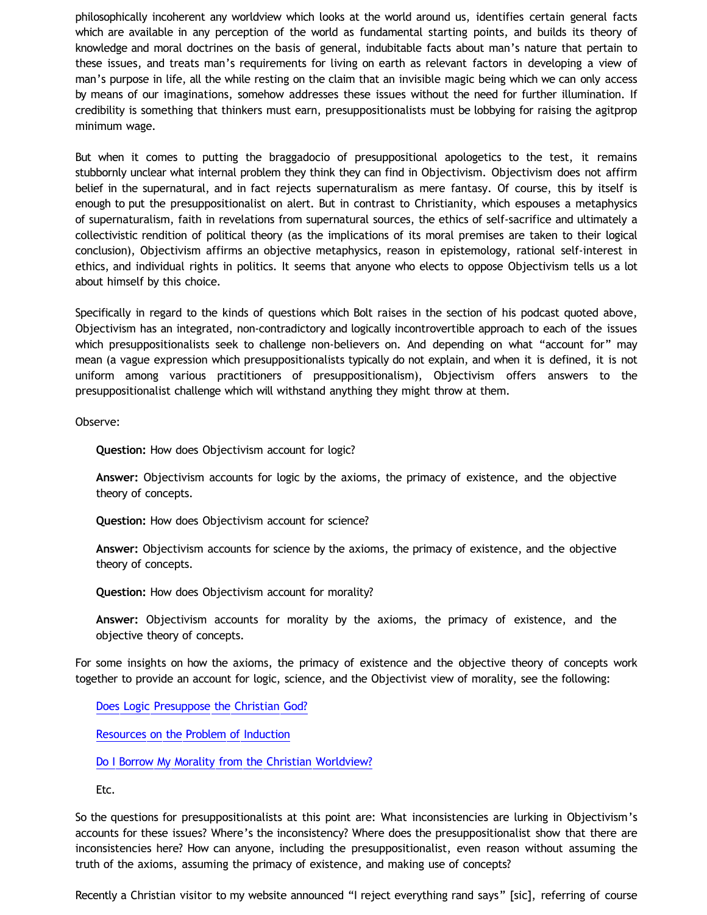philosophically incoherent any worldview which looks at the world around us, identifies certain general facts which are available in any perception of the world as fundamental starting points, and builds its theory of knowledge and moral doctrines on the basis of general, indubitable facts about man's nature that pertain to these issues, and treats man's requirements for living on earth as relevant factors in developing a view of man's purpose in life, all the while resting on the claim that an invisible magic being which we can only access by means of our imaginations, somehow addresses these issues without the need for further illumination. If credibility is something that thinkers must earn, presuppositionalists must be lobbying for raising the agitprop minimum wage.

But when it comes to putting the braggadocio of presuppositional apologetics to the test, it remains stubbornly unclear what internal problem they think they can find in Objectivism. Objectivism does not affirm belief in the supernatural, and in fact rejects supernaturalism as mere fantasy. Of course, this by itself is enough to put the presuppositionalist on alert. But in contrast to Christianity, which espouses a metaphysics of supernaturalism, faith in revelations from supernatural sources, the ethics of self-sacrifice and ultimately a collectivistic rendition of political theory (as the implications of its moral premises are taken to their logical conclusion), Objectivism affirms an objective metaphysics, reason in epistemology, rational self-interest in ethics, and individual rights in politics. It seems that anyone who elects to oppose Objectivism tells us a lot about himself by this choice.

Specifically in regard to the kinds of questions which Bolt raises in the section of his podcast quoted above, Objectivism has an integrated, non-contradictory and logically incontrovertible approach to each of the issues which presuppositionalists seek to challenge non-believers on. And depending on what "account for" may mean (a vague expression which presuppositionalists typically do not explain, and when it is defined, it is not uniform among various practitioners of presuppositionalism), Objectivism offers answers to the presuppositionalist challenge which will withstand anything they might throw at them.

Observe:

**Question:** How does Objectivism account for logic?

**Answer:** Objectivism accounts for logic by the axioms, the primacy of existence, and the objective theory of concepts.

**Question:** How does Objectivism account for science?

**Answer:** Objectivism accounts for science by the axioms, the primacy of existence, and the objective theory of concepts.

**Question:** How does Objectivism account for morality?

**Answer:** Objectivism accounts for morality by the axioms, the primacy of existence, and the objective theory of concepts.

For some insights on how the axioms, the primacy of existence and the objective theory of concepts work together to provide an account for logic, science, and the Objectivist view of morality, see the following:

[Does Logic Presuppose the Christian God?](http://katholon.com/Logic.htm)

[Resources on the Problem of Induction](http://katholon.com/Induction.htm)

[Do I Borrow My Morality from the Christian Worldview?](http://bahnsenburner.blogspot.com/2005/04/do-i-borrow-my-morality-from-christian.html)

Etc.

So the questions for presuppositionalists at this point are: What inconsistencies are lurking in Objectivism's accounts for these issues? Where's the inconsistency? Where does the presuppositionalist show that there are inconsistencies here? How can anyone, including the presuppositionalist, even reason without assuming the truth of the axioms, assuming the primacy of existence, and making use of concepts?

Recently a Christian visitor to my website announced "I reject everything rand says" [sic], referring of course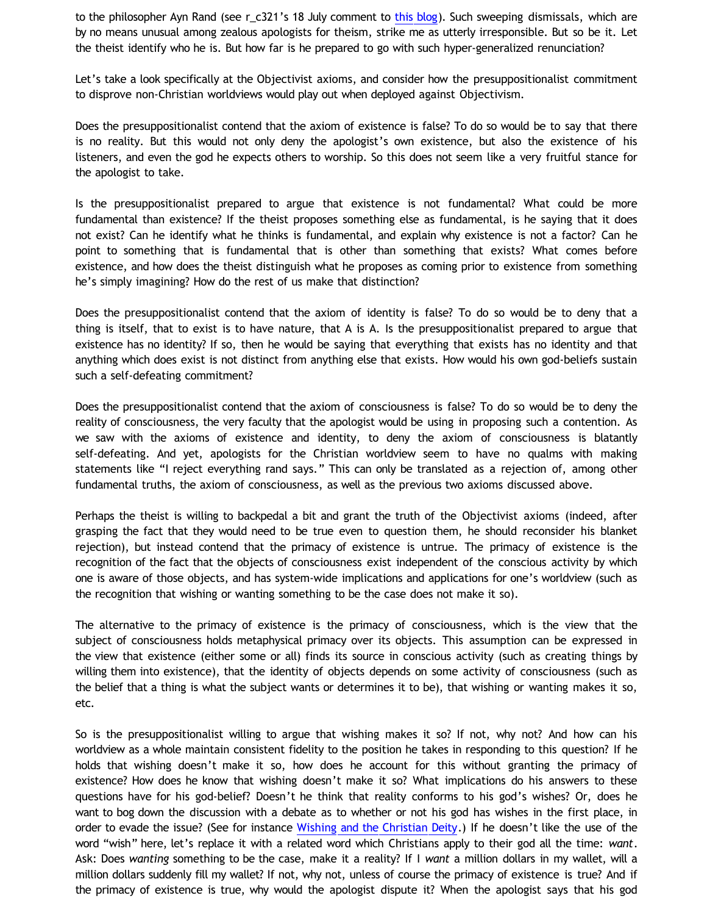to the philosopher Ayn Rand (see r\_c321's 18 July comment to [this blog\)](http://bahnsenburner.blogspot.com/2011/07/proof-that-christian-god-does-not-exist.html). Such sweeping dismissals, which are by no means unusual among zealous apologists for theism, strike me as utterly irresponsible. But so be it. Let the theist identify who he is. But how far is he prepared to go with such hyper-generalized renunciation?

Let's take a look specifically at the Objectivist axioms, and consider how the presuppositionalist commitment to disprove non-Christian worldviews would play out when deployed against Objectivism.

Does the presuppositionalist contend that the axiom of existence is false? To do so would be to say that there is no reality. But this would not only deny the apologist's own existence, but also the existence of his listeners, and even the god he expects others to worship. So this does not seem like a very fruitful stance for the apologist to take.

Is the presuppositionalist prepared to argue that existence is not fundamental? What could be more fundamental than existence? If the theist proposes something else as fundamental, is he saying that it does not exist? Can he identify what he thinks is fundamental, and explain why existence is not a factor? Can he point to something that is fundamental that is other than something that exists? What comes before existence, and how does the theist distinguish what he proposes as coming prior to existence from something he's simply imagining? How do the rest of us make that distinction?

Does the presuppositionalist contend that the axiom of identity is false? To do so would be to deny that a thing is itself, that to exist is to have nature, that A is A. Is the presuppositionalist prepared to argue that existence has no identity? If so, then he would be saying that everything that exists has no identity and that anything which does exist is not distinct from anything else that exists. How would his own god-beliefs sustain such a self-defeating commitment?

Does the presuppositionalist contend that the axiom of consciousness is false? To do so would be to deny the reality of consciousness, the very faculty that the apologist would be using in proposing such a contention. As we saw with the axioms of existence and identity, to deny the axiom of consciousness is blatantly self-defeating. And yet, apologists for the Christian worldview seem to have no qualms with making statements like "I reject everything rand says." This can only be translated as a rejection of, among other fundamental truths, the axiom of consciousness, as well as the previous two axioms discussed above.

Perhaps the theist is willing to backpedal a bit and grant the truth of the Objectivist axioms (indeed, after grasping the fact that they would need to be true even to question them, he should reconsider his blanket rejection), but instead contend that the primacy of existence is untrue. The primacy of existence is the recognition of the fact that the objects of consciousness exist independent of the conscious activity by which one is aware of those objects, and has system-wide implications and applications for one's worldview (such as the recognition that wishing or wanting something to be the case does not make it so).

The alternative to the primacy of existence is the primacy of consciousness, which is the view that the subject of consciousness holds metaphysical primacy over its objects. This assumption can be expressed in the view that existence (either some or all) finds its source in conscious activity (such as creating things by willing them into existence), that the identity of objects depends on some activity of consciousness (such as the belief that a thing is what the subject wants or determines it to be), that wishing or wanting makes it so, etc.

So is the presuppositionalist willing to argue that wishing makes it so? If not, why not? And how can his worldview as a whole maintain consistent fidelity to the position he takes in responding to this question? If he holds that wishing doesn't make it so, how does he account for this without granting the primacy of existence? How does he know that wishing doesn't make it so? What implications do his answers to these questions have for his god-belief? Doesn't he think that reality conforms to his god's wishes? Or, does he want to bog down the discussion with a debate as to whether or not his god has wishes in the first place, in order to evade the issue? (See for instance [Wishing and the Christian Deity.](http://bahnsenburner.blogspot.com/2006/12/wishing-and-christian-deity.html)) If he doesn't like the use of the word "wish" here, let's replace it with a related word which Christians apply to their god all the time: *want*. Ask: Does *wanting* something to be the case, make it a reality? If I *want* a million dollars in my wallet, will a million dollars suddenly fill my wallet? If not, why not, unless of course the primacy of existence is true? And if the primacy of existence is true, why would the apologist dispute it? When the apologist says that his god